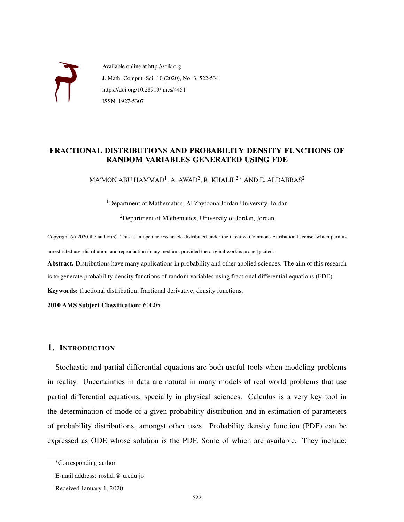

Available online at http://scik.org J. Math. Comput. Sci. 10 (2020), No. 3, 522-534 https://doi.org/10.28919/jmcs/4451 ISSN: 1927-5307

# FRACTIONAL DISTRIBUTIONS AND PROBABILITY DENSITY FUNCTIONS OF RANDOM VARIABLES GENERATED USING FDE

MA'MON ABU HAMMAD $^{\rm l}$ , A. AWAD $^{\rm 2}$ , R. KHALIL $^{\rm 2,*}$  AND E. ALDABBAS $^{\rm 2}$ 

<sup>1</sup>Department of Mathematics, Al Zaytoona Jordan University, Jordan <sup>2</sup>Department of Mathematics, University of Jordan, Jordan

Copyright © 2020 the author(s). This is an open access article distributed under the Creative Commons Attribution License, which permits unrestricted use, distribution, and reproduction in any medium, provided the original work is properly cited.

Abstract. Distributions have many applications in probability and other applied sciences. The aim of this research is to generate probability density functions of random variables using fractional differential equations (FDE).

Keywords: fractional distribution; fractional derivative; density functions.

2010 AMS Subject Classification: 60E05.

## 1. INTRODUCTION

Stochastic and partial differential equations are both useful tools when modeling problems in reality. Uncertainties in data are natural in many models of real world problems that use partial differential equations, specially in physical sciences. Calculus is a very key tool in the determination of mode of a given probability distribution and in estimation of parameters of probability distributions, amongst other uses. Probability density function (PDF) can be expressed as ODE whose solution is the PDF. Some of which are available. They include:

<sup>∗</sup>Corresponding author

E-mail address: roshdi@ju.edu.jo

Received January 1, 2020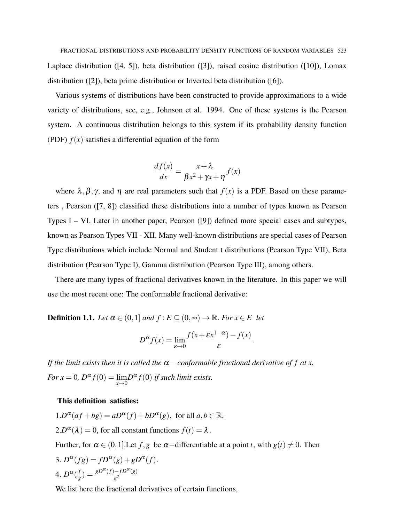FRACTIONAL DISTRIBUTIONS AND PROBABILITY DENSITY FUNCTIONS OF RANDOM VARIABLES 523 Laplace distribution ([4, 5]), beta distribution ([3]), raised cosine distribution ([10]), Lomax distribution ([2]), beta prime distribution or Inverted beta distribution ([6]).

Various systems of distributions have been constructed to provide approximations to a wide variety of distributions, see, e.g., Johnson et al. 1994. One of these systems is the Pearson system. A continuous distribution belongs to this system if its probability density function (PDF)  $f(x)$  satisfies a differential equation of the form

$$
\frac{df(x)}{dx} = \frac{x+\lambda}{\beta x^2 + \gamma x + \eta} f(x)
$$

where  $\lambda, \beta, \gamma$ , and  $\eta$  are real parameters such that  $f(x)$  is a PDF. Based on these parameters , Pearson ([7, 8]) classified these distributions into a number of types known as Pearson Types I – VI. Later in another paper, Pearson ([9]) defined more special cases and subtypes, known as Pearson Types VII - XII. Many well-known distributions are special cases of Pearson Type distributions which include Normal and Student t distributions (Pearson Type VII), Beta distribution (Pearson Type I), Gamma distribution (Pearson Type III), among others.

There are many types of fractional derivatives known in the literature. In this paper we will use the most recent one: The conformable fractional derivative:

**Definition 1.1.** *Let*  $\alpha \in (0,1]$  *and*  $f : E \subseteq (0,\infty) \to \mathbb{R}$ *. For*  $x \in E$  *let* 

$$
D^{\alpha} f(x) = \lim_{\varepsilon \to 0} \frac{f(x + \varepsilon x^{1-\alpha}) - f(x)}{\varepsilon}.
$$

*If the limit exists then it is called the*  $\alpha$  – *conformable fractional derivative of f at x. For*  $x = 0$ ,  $D^{\alpha} f(0) = \lim_{x \to 0} D^{\alpha} f(0)$  *if such limit exists.* 

#### This definition satisfies:

 $1.D^{\alpha}(af+bg) = aD^{\alpha}(f) + bD^{\alpha}(g)$ , for all  $a, b \in \mathbb{R}$ .  $2.D^{\alpha}(\lambda) = 0$ , for all constant functions  $f(t) = \lambda$ .

Further, for  $\alpha \in (0,1]$ . Let  $f, g$  be  $\alpha$  –differentiable at a point *t*, with  $g(t) \neq 0$ . Then 3.  $D^{\alpha}(fg) = fD^{\alpha}(g) + gD^{\alpha}(f)$ .

4. 
$$
D^{\alpha}(\frac{f}{g}) = \frac{gD^{\alpha}(f) - fD^{\alpha}(g)}{g^2}
$$

We list here the fractional derivatives of certain functions,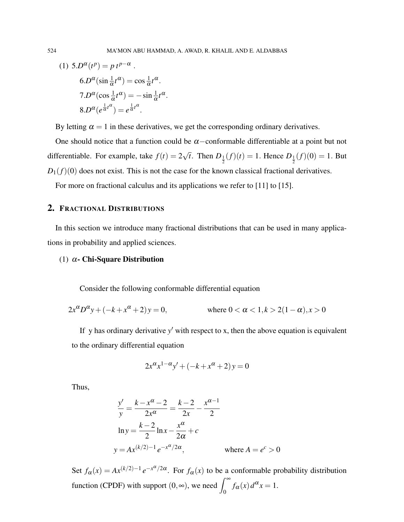(1) 
$$
5.D^{\alpha}(t^{p}) = p t^{p-\alpha}
$$
.  
\n $6.D^{\alpha}(\sin \frac{1}{\alpha}t^{\alpha}) = \cos \frac{1}{\alpha}t^{\alpha}$ .  
\n $7.D^{\alpha}(\cos \frac{1}{\alpha}t^{\alpha}) = -\sin \frac{1}{\alpha}t^{\alpha}$ .  
\n $8.D^{\alpha}(e^{\frac{1}{\alpha}t^{\alpha}}) = e^{\frac{1}{\alpha}t^{\alpha}}$ .

By letting  $\alpha = 1$  in these derivatives, we get the corresponding ordinary derivatives.

One should notice that a function could be  $\alpha$  –conformable differentiable at a point but not differentiable. For example, take  $f(t) = 2$ √ *t*. Then  $D_{\frac{1}{2}}(f)(t) = 1$ . Hence  $D_{\frac{1}{2}}(f)(0) = 1$ . But  $D_1(f)(0)$  does not exist. This is not the case for the known classical fractional derivatives.

For more on fractional calculus and its applications we refer to [11] to [15].

## 2. FRACTIONAL DISTRIBUTIONS

In this section we introduce many fractional distributions that can be used in many applications in probability and applied sciences.

#### (1)  $\alpha$ - Chi-Square Distribution

Consider the following conformable differential equation

$$
2x^{\alpha}D^{\alpha}y + (-k + x^{\alpha} + 2)y = 0, \qquad \text{where } 0 < \alpha < 1, k > 2(1 - \alpha), x > 0
$$

If y has ordinary derivative  $y'$  with respect to x, then the above equation is equivalent to the ordinary differential equation

$$
2x^{\alpha}x^{1-\alpha}y' + (-k + x^{\alpha} + 2)y = 0
$$

Thus,

$$
\frac{y'}{y} = \frac{k - x^{\alpha} - 2}{2x^{\alpha}} = \frac{k - 2}{2x} - \frac{x^{\alpha - 1}}{2}
$$
  
ln y =  $\frac{k - 2}{2}$  ln x -  $\frac{x^{\alpha}}{2\alpha}$  + c  
y =  $Ax^{(k/2)-1}e^{-x^{\alpha}/2\alpha}$ , where  $A = e^{c} > 0$ 

Set  $f_{\alpha}(x) = Ax^{(k/2)-1}e^{-x^{\alpha}/2\alpha}$ . For  $f_{\alpha}(x)$  to be a conformable probability distribution function (CPDF) with support  $(0, \infty)$ , we need  $\int_0^\infty f_\alpha(x) d^\alpha x = 1$ .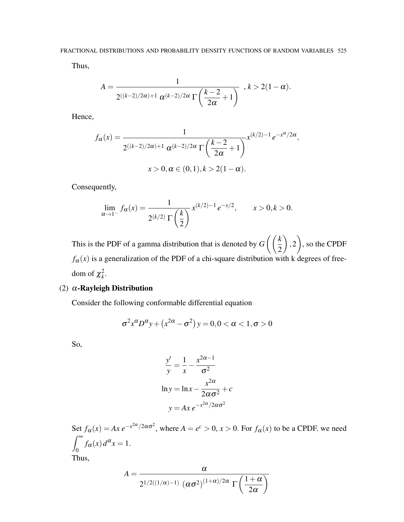Thus,

$$
A = \frac{1}{2^{((k-2)/2\alpha)+1} \alpha^{(k-2)/2\alpha} \Gamma\left(\frac{k-2}{2\alpha}+1\right)} \quad , k > 2(1-\alpha).
$$

Hence,

$$
f_{\alpha}(x) = \frac{1}{2^{((k-2)/2\alpha)+1} \alpha^{(k-2)/2\alpha} \Gamma\left(\frac{k-2}{2\alpha}+1\right)} x^{(k/2)-1} e^{-x^{\alpha}/2\alpha},
$$
  

$$
x > 0, \alpha \in (0,1), k > 2(1-\alpha).
$$

Consequently,

$$
\lim_{\alpha \to 1^{-}} f_{\alpha}(x) = \frac{1}{2^{(k/2)} \Gamma\left(\frac{k}{2}\right)} x^{(k/2)-1} e^{-x/2}, \qquad x > 0, k > 0.
$$

This is the PDF of a gamma distribution that is denoted by *G k* 2  $\setminus$ ,2  $\setminus$ , so the CPDF  $f_\alpha(x)$  is a generalization of the PDF of a chi-square distribution with k degrees of freedom of  $\chi^2_k$ .

# (2)  $\alpha$ -Rayleigh Distribution

Consider the following conformable differential equation

$$
\sigma^2 x^{\alpha} D^{\alpha} y + (x^{2\alpha} - \sigma^2) y = 0, 0 < \alpha < 1, \sigma > 0
$$

So,

$$
\frac{y'}{y} = \frac{1}{x} - \frac{x^{2\alpha - 1}}{\sigma^2}
$$
  
ln y = ln x -  $\frac{x^{2\alpha}}{2\alpha\sigma^2}$  + c  
y = Ax e<sup>-x<sup>2\alpha</sup>/2\alpha\sigma^2</sup>

Set  $f_{\alpha}(x) = Ax e^{-x^{2\alpha}/2\alpha\sigma^2}$ , where  $A = e^c > 0$ ,  $x > 0$ . For  $f_{\alpha}(x)$  to be a CPDF. we need  $\int^{\infty}$  $\int_0^L f_\alpha(x) d^\alpha x = 1.$ Thus,  $A = \frac{\alpha}{\alpha}$  $(1+\alpha$  $\setminus$ 

 $2\alpha$ 

2 $^{1/2((1/\alpha)-1)}$   $(\alpha\sigma^2)^{(1+\alpha)/2\alpha}$  Γ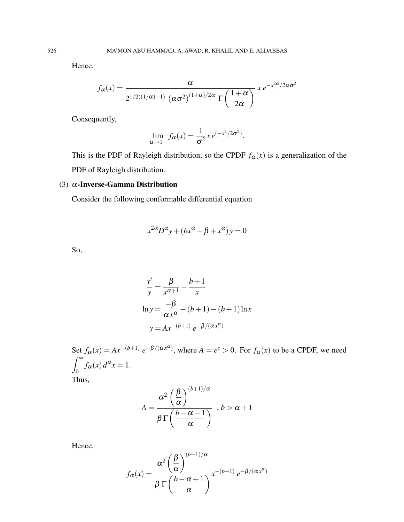Hence,

$$
f_{\alpha}(x) = \frac{\alpha}{2^{1/2((1/\alpha)-1)} (\alpha \sigma^2)^{(1+\alpha)/2\alpha} \Gamma\left(\frac{1+\alpha}{2\alpha}\right)} x e^{-x^{2\alpha}/2\alpha \sigma^2}
$$

Consequently,

$$
\lim_{\alpha \to 1^-} f_{\alpha}(x) = \frac{1}{\sigma^2} x e^{(-x^2/2\sigma^2)}.
$$

This is the PDF of Rayleigh distribution, so the CPDF  $f_\alpha(x)$  is a generalization of the PDF of Rayleigh distribution.

### (3)  $\alpha$ -Inverse-Gamma Distribution

Consider the following conformable differential equation

$$
x^{2\alpha}D^{\alpha}y + (bx^{\alpha} - \beta + x^{\alpha})y = 0
$$

So,

$$
\frac{y'}{y} = \frac{\beta}{x^{\alpha+1}} - \frac{b+1}{x}
$$
  
\n
$$
\ln y = \frac{-\beta}{\alpha x^{\alpha}} - (b+1) - (b+1)\ln x
$$
  
\n
$$
y = Ax^{-(b+1)} e^{-\beta/(\alpha x^{\alpha})}
$$

Set  $f_{\alpha}(x) = Ax^{-(b+1)} e^{-\beta/(\alpha x^{\alpha})}$ , where  $A = e^{c} > 0$ . For  $f_{\alpha}(x)$  to be a CPDF, we need  $\int^{\infty}$  $\int_0^L f_\alpha(x) d^\alpha x = 1.$ Thus,  $(1 + 1)$ /

$$
A = \frac{\alpha^2 \left(\frac{\beta}{\alpha}\right)^{(b+1)/\alpha}}{\beta \Gamma\left(\frac{b-\alpha-1}{\alpha}\right)} \quad , b > \alpha+1
$$

Hence,

$$
f_{\alpha}(x) = \frac{\alpha^2 \left(\frac{\beta}{\alpha}\right)^{(b+1)/\alpha}}{\beta \Gamma \left(\frac{b-\alpha+1}{\alpha}\right)} x^{-(b+1)} e^{-\beta/(\alpha x^{\alpha})}
$$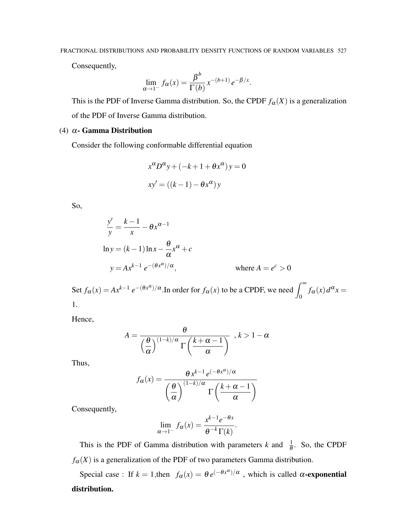Consequently,

$$
\lim_{\alpha \to 1^-} f_{\alpha}(x) = \frac{\beta^b}{\Gamma(b)} x^{-(b+1)} e^{-\beta/x}.
$$

This is the PDF of Inverse Gamma distribution. So, the CPDF  $f_{\alpha}(X)$  is a generalization of the PDF of Inverse Gamma distribution.

## (4)  $\alpha$ - Gamma Distribution

Consider the following conformable differential equation

$$
x^{\alpha}D^{\alpha}y + (-k+1 + \theta x^{\alpha})y = 0
$$
  

$$
xy' = ((k-1) - \theta x^{\alpha})y
$$

So,

$$
\frac{y'}{y} = \frac{k-1}{x} - \theta x^{\alpha-1}
$$
  
\n
$$
\ln y = (k-1)\ln x - \frac{\theta}{\alpha}x^{\alpha} + c
$$
  
\n
$$
y = Ax^{k-1} e^{-(\theta x^{\alpha})/\alpha}, \qquad \text{where } A = e^c > 0
$$

Set  $f_\alpha(x) = Ax^{k-1} e^{-(\theta x^\alpha)/\alpha}$ . In order for  $f_\alpha(x)$  to be a CPDF, we need  $\int_0^\infty f_\alpha(x) d^\alpha x =$ 1.

Hence,

$$
A = \frac{\theta}{\left(\frac{\theta}{\alpha}\right)^{(1-k)/\alpha} \Gamma\left(\frac{k+\alpha-1}{\alpha}\right)}
$$
,  $k > 1-\alpha$ 

Thus,

$$
f_{\alpha}(x) = \frac{\theta x^{k-1} e^{(-\theta x^{\alpha})/\alpha}}{\left(\frac{\theta}{\alpha}\right)^{(1-k)/\alpha} \Gamma\left(\frac{k+\alpha-1}{\alpha}\right)}
$$

Consequently,

$$
\lim_{\alpha \to 1^-} f_{\alpha}(x) = \frac{x^{k-1} e^{-\theta x}}{\theta^{-k} \Gamma(k)}.
$$

This is the PDF of Gamma distribution with parameters *k* and  $\frac{1}{\theta}$ . So, the CPDF  $f_\alpha(X)$  is a generalization of the PDF of two parameters Gamma distribution.

Special case : If  $k = 1$ , then  $f_{\alpha}(x) = \theta e^{(-\theta x^{\alpha})/\alpha}$ , which is called  $\alpha$ -exponential distribution.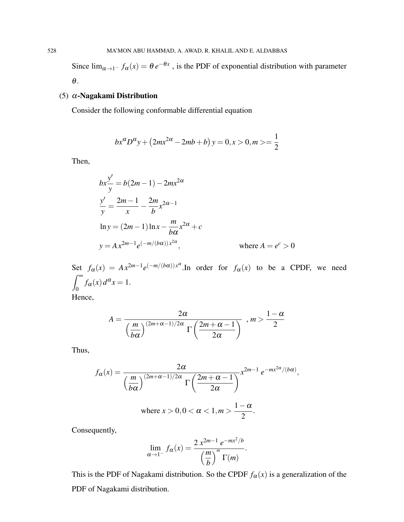Since  $\lim_{\alpha \to 1^-} f_\alpha(x) = \theta e^{-\theta x}$ , is the PDF of exponential distribution with parameter θ.

## (5) α-Nagakami Distribution

Consider the following conformable differential equation

$$
bx^{\alpha}D^{\alpha}y + (2mx^{2\alpha} - 2mb + b)y = 0, x > 0, m > = \frac{1}{2}
$$

Then,

$$
bx \frac{y'}{y} = b(2m - 1) - 2mx^{2\alpha}
$$
  
\n
$$
\frac{y'}{y} = \frac{2m - 1}{x} - \frac{2m}{b}x^{2\alpha - 1}
$$
  
\n
$$
\ln y = (2m - 1)\ln x - \frac{m}{b\alpha}x^{2\alpha} + c
$$
  
\n
$$
y = Ax^{2m-1}e^{(-m/(b\alpha))x^{2\alpha}}, \qquad \text{where } A = e^c > 0
$$

Set  $f_\alpha(x) = Ax^{2m-1}e^{(-m/(b\alpha))x^\alpha}$ . In order for  $f_\alpha(x)$  to be a CPDF, we need  $\int^{\infty}$  $\int_0^L f_\alpha(x) d^\alpha x = 1.$ Hence,

$$
A = \frac{2\alpha}{\left(\frac{m}{b\alpha}\right)^{(2m+\alpha-1)/2\alpha} \Gamma\left(\frac{2m+\alpha-1}{2\alpha}\right)}, m > \frac{1-\alpha}{2}
$$

Thus,

$$
f_{\alpha}(x) = \frac{2\alpha}{\left(\frac{m}{b\alpha}\right)^{(2m+\alpha-1)/2\alpha} \Gamma\left(\frac{2m+\alpha-1}{2\alpha}\right)} x^{2m-1} e^{-mx^{2\alpha}/(b\alpha)},
$$
  
where  $x > 0, 0 < \alpha < 1, m > \frac{1-\alpha}{2}$ .

Consequently,

$$
\lim_{\alpha \to 1^-} f_{\alpha}(x) = \frac{2 x^{2m-1} e^{-mx^2/b}}{\left(\frac{m}{b}\right)^m \Gamma(m)}.
$$

This is the PDF of Nagakami distribution. So the CPDF  $f_\alpha(x)$  is a generalization of the PDF of Nagakami distribution.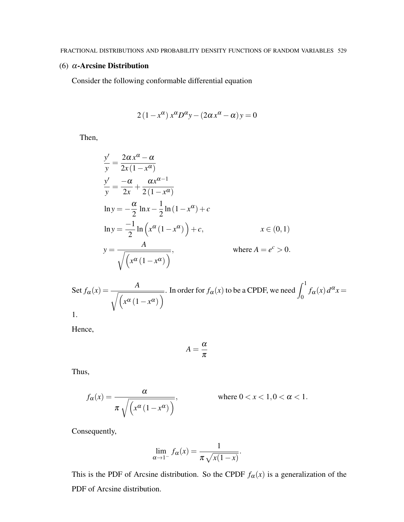### (6) α-Arcsine Distribution

Consider the following conformable differential equation

$$
2(1 - x^{\alpha}) x^{\alpha} D^{\alpha} y - (2\alpha x^{\alpha} - \alpha) y = 0
$$

Then,

$$
\frac{y'}{y} = \frac{2\alpha x^{\alpha} - \alpha}{2x(1 - x^{\alpha})}
$$
\n
$$
\frac{y'}{y} = \frac{-\alpha}{2x} + \frac{\alpha x^{\alpha - 1}}{2(1 - x^{\alpha})}
$$
\n
$$
\ln y = -\frac{\alpha}{2} \ln x - \frac{1}{2} \ln (1 - x^{\alpha}) + c
$$
\n
$$
\ln y = \frac{-1}{2} \ln \left( x^{\alpha} (1 - x^{\alpha}) \right) + c, \qquad x \in (0, 1)
$$
\n
$$
y = \frac{A}{\sqrt{\left( x^{\alpha} (1 - x^{\alpha}) \right)}}, \qquad \text{where } A = e^{c} > 0.
$$

Set 
$$
f_{\alpha}(x) = \frac{A}{\sqrt{(x^{\alpha}(1 - x^{\alpha}))}}
$$
. In order for  $f_{\alpha}(x)$  to be a CPDF, we need  $\int_0^1 f_{\alpha}(x) d^{\alpha}x = 1$ .

Hence,

$$
A=\frac{\alpha}{\pi}
$$

Thus,

$$
f_{\alpha}(x) = \frac{\alpha}{\pi \sqrt{(x^{\alpha} (1 - x^{\alpha}))}}, \quad \text{where } 0 < x < 1, 0 < \alpha < 1.
$$

Consequently,

$$
\lim_{\alpha \to 1^-} f_{\alpha}(x) = \frac{1}{\pi \sqrt{x(1-x)}}.
$$

This is the PDF of Arcsine distribution. So the CPDF  $f_\alpha(x)$  is a generalization of the PDF of Arcsine distribution.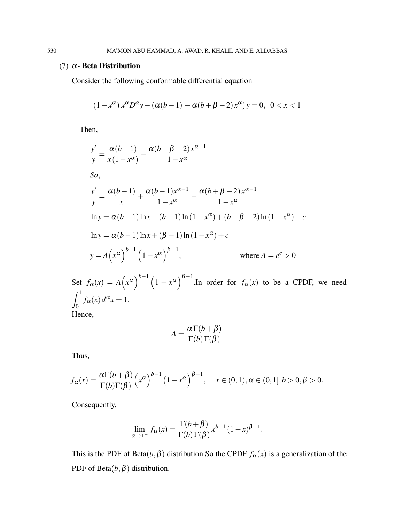#### (7) α- Beta Distribution

Consider the following conformable differential equation

$$
(1 - x^{\alpha}) x^{\alpha} D^{\alpha} y - (\alpha(b - 1) - \alpha(b + \beta - 2) x^{\alpha}) y = 0, \ 0 < x < 1
$$

Then,

$$
\frac{y'}{y} = \frac{\alpha(b-1)}{x(1-x^{\alpha})} - \frac{\alpha(b+\beta-2)x^{\alpha-1}}{1-x^{\alpha}}
$$
  
\nSo,  
\n
$$
\frac{y'}{y} = \frac{\alpha(b-1)}{x} + \frac{\alpha(b-1)x^{\alpha-1}}{1-x^{\alpha}} - \frac{\alpha(b+\beta-2)x^{\alpha-1}}{1-x^{\alpha}}
$$
  
\n
$$
\ln y = \alpha(b-1)\ln x - (b-1)\ln(1-x^{\alpha}) + (b+\beta-2)\ln(1-x^{\alpha}) + c
$$
  
\n
$$
\ln y = \alpha(b-1)\ln x + (\beta-1)\ln(1-x^{\alpha}) + c
$$
  
\n
$$
y = A(x^{\alpha})^{b-1} (1-x^{\alpha})^{\beta-1}, \qquad \text{where } A = e^{c} > 0
$$

Set  $f_\alpha(x) = A(x^\alpha)^{b-1} (1-x^\alpha)^{\beta-1}$ .In order for  $f_\alpha(x)$  to be a CPDF, we need  $\int_1^1$  $\int_0^L f_\alpha(x) d^\alpha x = 1.$ Hence,

$$
A = \frac{\alpha \Gamma(b + \beta)}{\Gamma(b) \Gamma(\beta)}
$$

Thus,

$$
f_{\alpha}(x) = \frac{\alpha \Gamma(b+\beta)}{\Gamma(b)\Gamma(\beta)} \left(x^{\alpha}\right)^{b-1} \left(1-x^{\alpha}\right)^{\beta-1}, \quad x \in (0,1), \alpha \in (0,1], b > 0, \beta > 0.
$$

Consequently,

$$
\lim_{\alpha \to 1^-} f_{\alpha}(x) = \frac{\Gamma(b+\beta)}{\Gamma(b)\Gamma(\beta)} x^{b-1} (1-x)^{\beta-1}.
$$

This is the PDF of Beta $(b, \beta)$  distribution. So the CPDF  $f_{\alpha}(x)$  is a generalization of the PDF of Beta $(b, \beta)$  distribution.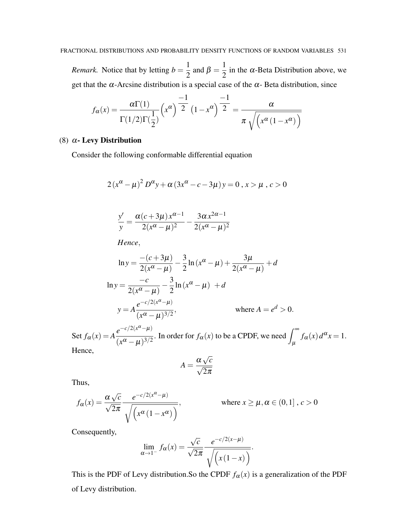*Remark.* Notice that by letting  $b = \frac{1}{2}$  $\frac{1}{2}$  and  $\beta = \frac{1}{2}$  $\frac{1}{2}$  in the  $\alpha$ -Beta Distribution above, we get that the  $\alpha$ -Arcsine distribution is a special case of the  $\alpha$ -Beta distribution, since

$$
f_{\alpha}(x) = \frac{\alpha \Gamma(1)}{\Gamma(1/2)\Gamma(\frac{1}{2})} \left(x^{\alpha}\right)^{\frac{-1}{2}} \left(1 - x^{\alpha}\right)^{\frac{-1}{2}} = \frac{\alpha}{\pi \sqrt{\left(x^{\alpha}\left(1 - x^{\alpha}\right)\right)}}
$$

### (8) α- Levy Distribution

Consider the following conformable differential equation

$$
2(x^{\alpha} - \mu)^{2} D^{\alpha} y + \alpha (3x^{\alpha} - c - 3\mu) y = 0, x > \mu, c > 0
$$

$$
\frac{y'}{y} = \frac{\alpha(c+3\mu)x^{\alpha-1}}{2(x^{\alpha}-\mu)^2} - \frac{3\alpha x^{2\alpha-1}}{2(x^{\alpha}-\mu)^2}
$$

*Hence*,

$$
\ln y = \frac{-(c+3\mu)}{2(x^{\alpha} - \mu)} - \frac{3}{2}\ln(x^{\alpha} - \mu) + \frac{3\mu}{2(x^{\alpha} - \mu)} + d
$$
  
\n
$$
\ln y = \frac{-c}{2(x^{\alpha} - \mu)} - \frac{3}{2}\ln(x^{\alpha} - \mu) + d
$$
  
\n
$$
y = A \frac{e^{-c/2(x^{\alpha} - \mu)}}{(x^{\alpha} - \mu)^{3/2}}, \qquad \text{where } A = e^{d} > 0.
$$

Set  $f_{\alpha}(x) = A$  $e^{-c/2(x^{\alpha}-\mu)}$  $\frac{e^{-c/2(x^{\alpha}-\mu)}}{(x^{\alpha}-\mu)^{3/2}}$ . In order for  $f_{\alpha}(x)$  to be a CPDF, we need  $\int_{\mu}^{\infty} f_{\alpha}(x) d^{\alpha}x = 1$ . Hence, √

$$
A = \frac{\alpha \sqrt{c}}{\sqrt{2\pi}}
$$

Thus,

$$
f_{\alpha}(x) = \frac{\alpha \sqrt{c}}{\sqrt{2\pi}} \frac{e^{-c/2(x^{\alpha} - \mu)}}{\sqrt{\left(x^{\alpha} (1 - x^{\alpha})\right)}}, \qquad \text{where } x \ge \mu, \alpha \in (0, 1], c > 0
$$

Consequently,

$$
\lim_{\alpha \to 1^-} f_{\alpha}(x) = \frac{\sqrt{c}}{\sqrt{2\pi}} \frac{e^{-c/2(x-\mu)}}{\sqrt{\left(x(1-x)\right)}}.
$$

This is the PDF of Levy distribution. So the CPDF  $f_\alpha(x)$  is a generalization of the PDF of Levy distribution.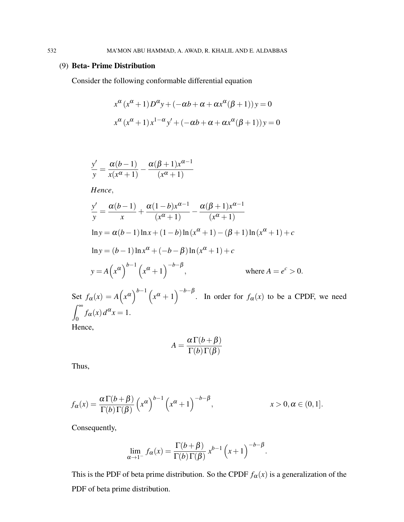### (9) Beta- Prime Distribution

Consider the following conformable differential equation

$$
x^{\alpha} (x^{\alpha} + 1) D^{\alpha} y + (-\alpha b + \alpha + \alpha x^{\alpha} (\beta + 1)) y = 0
$$
  

$$
x^{\alpha} (x^{\alpha} + 1) x^{1-\alpha} y' + (-\alpha b + \alpha + \alpha x^{\alpha} (\beta + 1)) y = 0
$$

$$
\frac{y'}{y} = \frac{\alpha(b-1)}{x(x^{\alpha}+1)} - \frac{\alpha(\beta+1)x^{\alpha-1}}{(x^{\alpha}+1)}
$$

*Hence*,

$$
\frac{y'}{y} = \frac{\alpha(b-1)}{x} + \frac{\alpha(1-b)x^{\alpha-1}}{(x^{\alpha}+1)} - \frac{\alpha(\beta+1)x^{\alpha-1}}{(x^{\alpha}+1)}
$$
  
\n
$$
\ln y = \alpha(b-1)\ln x + (1-b)\ln(x^{\alpha}+1) - (\beta+1)\ln(x^{\alpha}+1) + c
$$
  
\n
$$
\ln y = (b-1)\ln x^{\alpha} + (-b-\beta)\ln(x^{\alpha}+1) + c
$$
  
\n
$$
y = A(x^{\alpha})^{b-1} (x^{\alpha}+1)^{-b-\beta}, \qquad \text{where } A = e^{c} > 0.
$$
  
\nSet  $f_{\alpha}(x) = A(x^{\alpha})^{b-1} (x^{\alpha}+1)^{-b-\beta}$ . In order for  $f_{\alpha}(x)$  to be a CPDF, we need  
\n
$$
\int_{0}^{\infty} f_{\alpha}(x) d^{\alpha}x = 1.
$$

Hence,

 $\int^{\infty}$ 

$$
A = \frac{\alpha \Gamma(b + \beta)}{\Gamma(b) \Gamma(\beta)}
$$

Thus,

$$
f_{\alpha}(x) = \frac{\alpha \Gamma(b+\beta)}{\Gamma(b)\Gamma(\beta)} \left(x^{\alpha}\right)^{b-1} \left(x^{\alpha}+1\right)^{-b-\beta}, \qquad x > 0, \alpha \in (0,1].
$$

Consequently,

$$
\lim_{\alpha \to 1^{-}} f_{\alpha}(x) = \frac{\Gamma(b+\beta)}{\Gamma(b)\,\Gamma(\beta)} x^{b-1} \left(x+1\right)^{-b-\beta}.
$$

This is the PDF of beta prime distribution. So the CPDF  $f_\alpha(x)$  is a generalization of the PDF of beta prime distribution.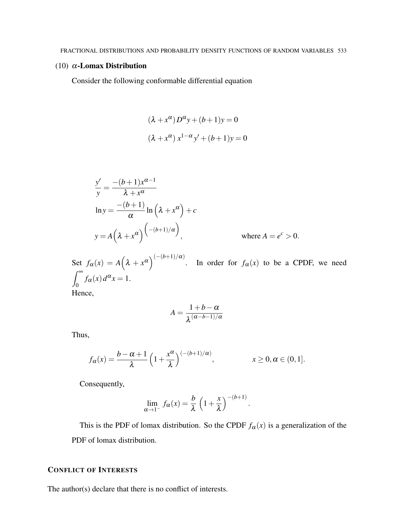#### (10)  $\alpha$ -Lomax Distribution

Consider the following conformable differential equation

$$
(\lambda + x^{\alpha})D^{\alpha}y + (b+1)y = 0
$$

$$
(\lambda + x^{\alpha})x^{1-\alpha}y' + (b+1)y = 0
$$

$$
\frac{y'}{y} = \frac{-(b+1)x^{\alpha-1}}{\lambda + x^{\alpha}}
$$
  
\n
$$
\ln y = \frac{-(b+1)}{\alpha} \ln \left(\lambda + x^{\alpha}\right) + c
$$
  
\n
$$
y = A\left(\lambda + x^{\alpha}\right)^{\left(-(b+1)/\alpha\right)}, \qquad \text{where } A = e^{c} > 0.
$$

Set  $f_\alpha(x) = A(\lambda + x^\alpha)^{(-(b+1)/\alpha)}$ . In order for  $f_\alpha(x)$  to be a CPDF, we need  $\int^{\infty}$  $\int_0^L f_\alpha(x) d^\alpha x = 1.$ Hence,

$$
A=\frac{1+b-\alpha}{\lambda^{(\alpha-b-1)/\alpha}}
$$

Thus,

$$
f_{\alpha}(x) = \frac{b - \alpha + 1}{\lambda} \left( 1 + \frac{x^{\alpha}}{\lambda} \right)^{(-(b+1)/\alpha)}, \qquad x \ge 0, \alpha \in (0, 1].
$$

Consequently,

$$
\lim_{\alpha \to 1^-} f_{\alpha}(x) = \frac{b}{\lambda} \left( 1 + \frac{x}{\lambda} \right)^{-(b+1)}.
$$

This is the PDF of lomax distribution. So the CPDF  $f_\alpha(x)$  is a generalization of the PDF of lomax distribution.

### CONFLICT OF INTERESTS

The author(s) declare that there is no conflict of interests.